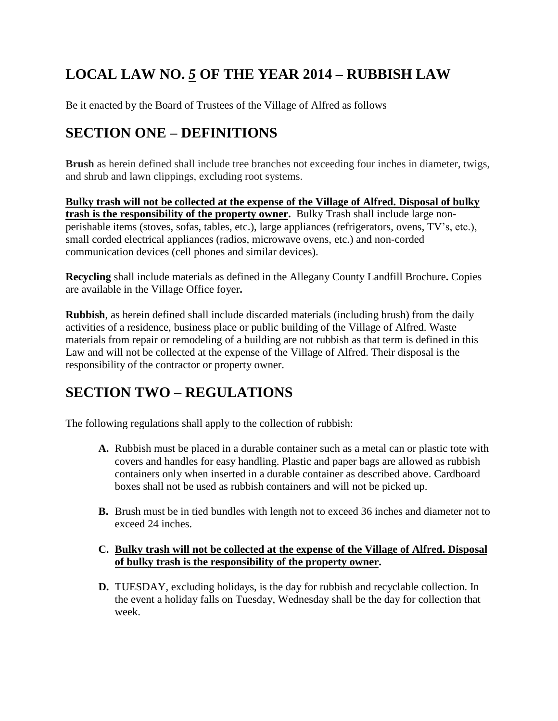# **LOCAL LAW NO.** *<sup>5</sup>* **OF THE YEAR <sup>2014</sup> <sup>ñ</sup> RUBBISH LAW**

Be it enacted by the Board of Trustees of the Village of Alfred as follows Be it enacted by the Board of Trustees of the Village of Alfred<br>**SECTION ONE – DEFINITIONS** 

**Brush** as herein defined shall include tree branches not exceeding four inches in diameter, twigs, and shrub and lawn clippings, excluding root systems.

**Bulky trash will not be collected at the expense of the Village of Alfred. Disposal of bulky trash is the responsibility of the property owner.** Bulky Trash shall include large non perishable items (stoves, sofas, tables, etc.), large appliances (refrigerators, ovens, TV's, etc.), small corded electrical appliances (radios, microwave ovens, etc.) and non-corded communication devices (cell phones and similar devices).

**Recycling** shall include materials as defined in the Allegany County Landfill Brochure**.** Copies are available in the Village Office foyer**.**

**Rubbish**, as herein defined shall include discarded materials (including brush) from the daily activities of a residence, business place or public building of the Village of Alfred. Waste materials from repair or remodeling of a building are not rubbish as that term is defined in this Law and will not be collected at the expense of the Village of Alfred. Their disposal is the responsibility of the contractor or property owner.

# **SECTION TWO – REGULATIONS**

The following regulations shall apply to the collection of rubbish:

- **A.** Rubbish must be placed in a durable container such as a metal can or plastic tote with covers and handles for easy handling. Plastic and paper bags are allowed as rubbish containers only when inserted in a durable container as described above. Cardboard boxes shall not be used as rubbish containers and will not be picked up.
- **B.** Brush must be in tied bundles with length not to exceed 36 inches and diameter not to exceed 24 inches.

### **C. Bulky trash will not be collected at the expense of the Village of Alfred. Disposal of bulky trash is the responsibility of the property owner.**

**D.** TUESDAY, excluding holidays, is the day for rubbish and recyclable collection. In the event a holiday falls on Tuesday, Wednesday shall be the day for collection that week.